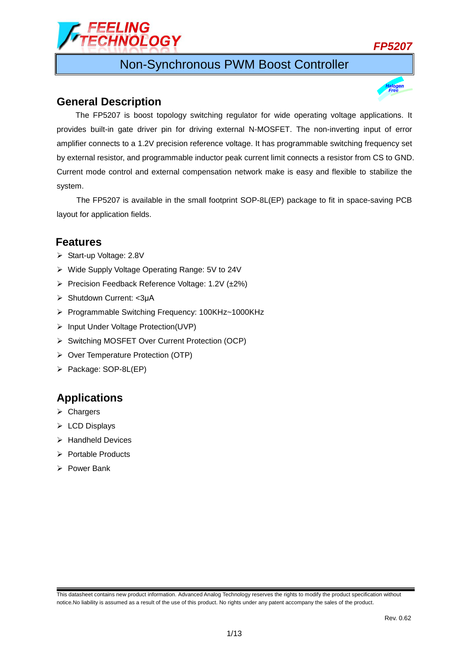

## Non-Synchronous PWM Boost Controller

### **General Description**

The FP5207 is boost topology switching regulator for wide operating voltage applications. It provides built-in gate driver pin for driving external N-MOSFET. The non-inverting input of error amplifier connects to a 1.2V precision reference voltage. It has programmable switching frequency set by external resistor, and programmable inductor peak current limit connects a resistor from CS to GND. Current mode control and external compensation network make is easy and flexible to stabilize the system.

The FP5207 is available in the small footprint SOP-8L(EP) package to fit in space-saving PCB layout for application fields.

## **Features**

- ▶ Start-up Voltage: 2.8V
- Wide Supply Voltage Operating Range: 5V to 24V
- Precision Feedback Reference Voltage: 1.2V  $(\pm 2\%)$
- Shutdown Current: <3μA
- ▶ Programmable Switching Frequency: 100KHz~1000KHz
- > Input Under Voltage Protection(UVP)
- Switching MOSFET Over Current Protection (OCP)
- ▶ Over Temperature Protection (OTP)
- Package: SOP-8L(EP)

## **Applications**

- **▶ Chargers**
- $\triangleright$  LCD Displays
- $\triangleright$  Handheld Devices
- $\triangleright$  Portable Products
- $\triangleright$  Power Bank

This datasheet contains new product information. Advanced Analog Technology reserves the rights to modify the product specification without notice.No liability is assumed as a result of the use of this product. No rights under any patent accompany the sales of the product.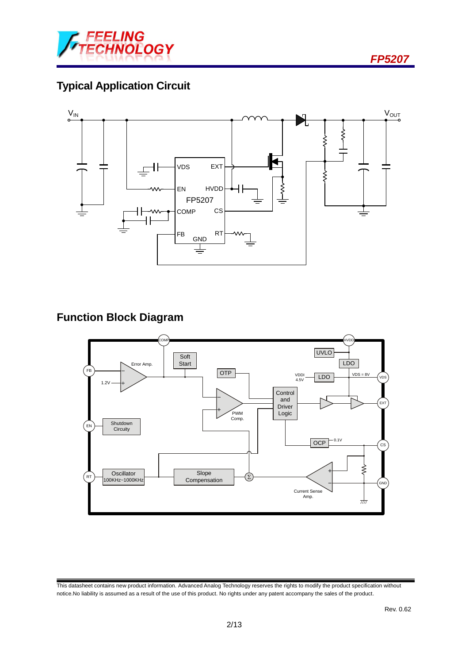

# **Typical Application Circuit**



## **Function Block Diagram**



This datasheet contains new product information. Advanced Analog Technology reserves the rights to modify the product specification without notice.No liability is assumed as a result of the use of this product. No rights under any patent accompany the sales of the product.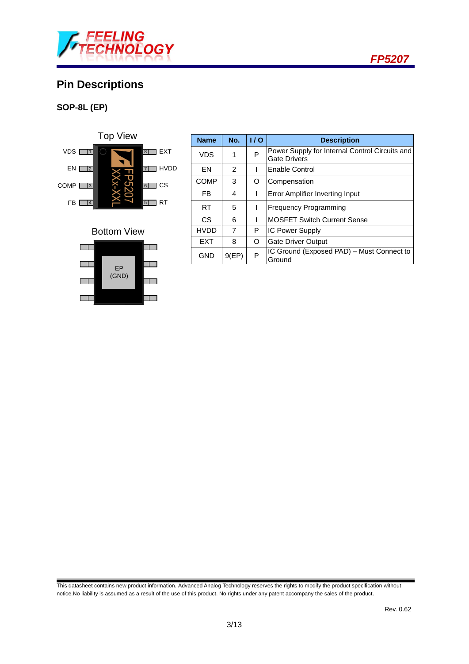

# **Pin Descriptions**

### **SOP-8L (EP)**





| <b>Name</b> | No.            | 1/0 | <b>Description</b>                                                    |  |
|-------------|----------------|-----|-----------------------------------------------------------------------|--|
| <b>VDS</b>  | 1              | P   | Power Supply for Internal Control Circuits and<br><b>Gate Drivers</b> |  |
| EN          | $\overline{2}$ |     | Enable Control                                                        |  |
| <b>COMP</b> | 3              | O   | Compensation                                                          |  |
| FB          | 4              |     | Error Amplifier Inverting Input                                       |  |
| RT.         | 5              |     | <b>Frequency Programming</b>                                          |  |
| CS          | 6              |     | <b>MOSFET Switch Current Sense</b>                                    |  |
| <b>HVDD</b> | 7              | Р   | <b>IC Power Supply</b>                                                |  |
| <b>EXT</b>  | 8              | O   | <b>Gate Driver Output</b>                                             |  |
| <b>GND</b>  | 9(EP)          | P   | IC Ground (Exposed PAD) - Must Connect to<br>Ground                   |  |

This datasheet contains new product information. Advanced Analog Technology reserves the rights to modify the product specification without notice.No liability is assumed as a result of the use of this product. No rights under any patent accompany the sales of the product.

 *FP5207*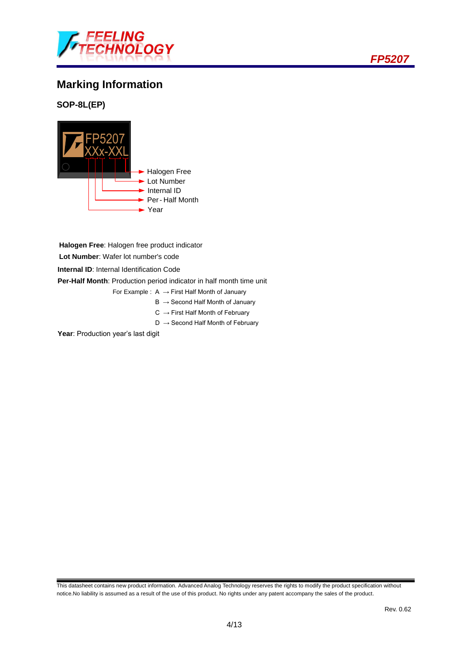

# **Marking Information**

#### **SOP-8L(EP)**



**Halogen Free**: Halogen free product indicator **Lot Number**: Wafer lot number's code

**Internal ID**: Internal Identification Code

**Per-Half Month**: Production period indicator in half month time unit

- For Example :  $A \rightarrow$  First Half Month of January
	- $B \rightarrow$  Second Half Month of January
	- $C \rightarrow$  First Half Month of February
	- $D \rightarrow$  Second Half Month of February

Year: Production year's last digit

This datasheet contains new product information. Advanced Analog Technology reserves the rights to modify the product specification without notice.No liability is assumed as a result of the use of this product. No rights under any patent accompany the sales of the product.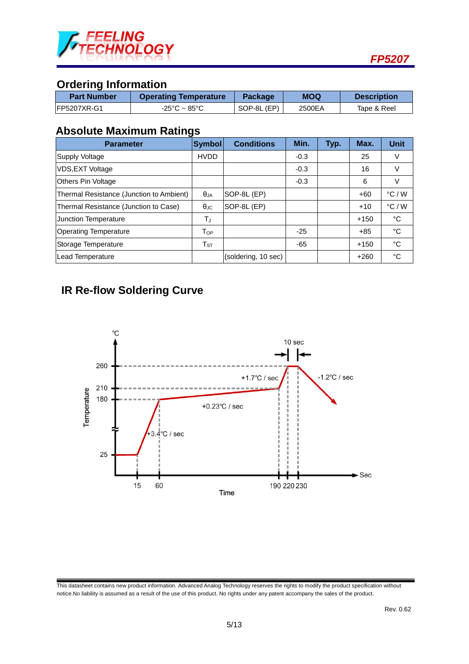

# **Ordering Information**

| <b>Part Number</b>  | <b>Operating Temperature</b> | <b>Package</b> | <b>MOQ</b> | <b>Description</b> |
|---------------------|------------------------------|----------------|------------|--------------------|
| <b>IFP5207XR-G1</b> | -25°C ~ 85°C                 | SOP-8L (EP)    | 2500EA     | Tape & Reel        |

# **Absolute Maximum Ratings**

| <b>Parameter</b>                         | Symbol               | <b>Conditions</b>   | Min.   | Typ. | Max.   | <b>Unit</b>     |
|------------------------------------------|----------------------|---------------------|--------|------|--------|-----------------|
| Supply Voltage                           | <b>HVDD</b>          |                     | $-0.3$ |      | 25     | V               |
| VDS, EXT Voltage                         |                      |                     | $-0.3$ |      | 16     | V               |
| <b>Others Pin Voltage</b>                |                      |                     | $-0.3$ |      | 6      | V               |
| Thermal Resistance (Junction to Ambient) | $\theta$ JA          | SOP-8L (EP)         |        |      | $+60$  | $\degree$ C / W |
| Thermal Resistance (Junction to Case)    | $\theta_{\text{JC}}$ | SOP-8L (EP)         |        |      | $+10$  | $\degree$ C / W |
| <b>Junction Temperature</b>              | $T_{J}$              |                     |        |      | $+150$ | °C              |
| <b>Operating Temperature</b>             | $T_{OP}$             |                     | $-25$  |      | $+85$  | °C              |
| Storage Temperature                      | ${\sf T}_{\tt ST}$   |                     | $-65$  |      | $+150$ | °C              |
| Lead Temperature                         |                      | (soldering, 10 sec) |        |      | $+260$ | °C              |

# **IR Re-flow Soldering Curve**



This datasheet contains new product information. Advanced Analog Technology reserves the rights to modify the product specification without notice.No liability is assumed as a result of the use of this product. No rights under any patent accompany the sales of the product.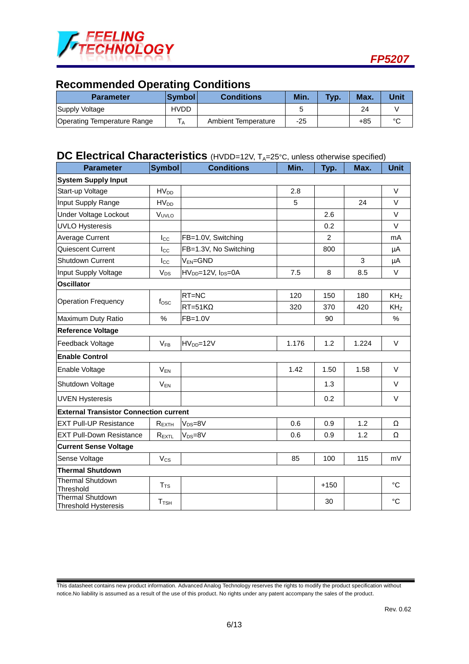

## **Recommended Operating Conditions**

| <b>Parameter</b>            | <b>Symbol</b> | <b>Conditions</b>   | Min. | Typ. | Max.  | <b>Unit</b> |
|-----------------------------|---------------|---------------------|------|------|-------|-------------|
| Supply Voltage              | HVDD          |                     |      |      | 24    |             |
| Operating Temperature Range | A             | Ambient Temperature | -25  |      | $+85$ | $\sim$      |

### **DC Electrical Characteristics** (HVDD=12V, T<sub>A</sub>=25°C, unless otherwise specified)

| <b>Parameter</b>                                       | <b>Symbol</b>          | <b>Conditions</b>     | Min.  | Typ.           | Max.  | <b>Unit</b>     |
|--------------------------------------------------------|------------------------|-----------------------|-------|----------------|-------|-----------------|
| <b>System Supply Input</b>                             |                        |                       |       |                |       |                 |
| Start-up Voltage                                       | $HV_{DD}$              |                       | 2.8   |                |       | V               |
| Input Supply Range                                     | <b>HV<sub>DD</sub></b> |                       | 5     |                | 24    | V               |
| Under Voltage Lockout                                  | VUVLO                  |                       |       | 2.6            |       | V               |
| <b>UVLO Hysteresis</b>                                 |                        |                       |       | 0.2            |       | V               |
| Average Current                                        | $I_{\rm CC}$           | FB=1.0V, Switching    |       | $\overline{2}$ |       | mA              |
| Quiescent Current                                      | $_{\rm lcc}$           | FB=1.3V, No Switching |       | 800            |       | μA              |
| <b>Shutdown Current</b>                                | $_{\rm lcc}$           | V <sub>EN</sub> =GND  |       |                | 3     | μA              |
| Input Supply Voltage                                   | $V_{DS}$               | $HVDD=12V, IDS=0A$    | 7.5   | 8              | 8.5   | $\vee$          |
| <b>Oscillator</b>                                      |                        |                       |       |                |       |                 |
|                                                        |                        | RT=NC                 | 120   | 150            | 180   | KH <sub>Z</sub> |
| <b>Operation Frequency</b>                             | fosc                   | $RT = 51K\Omega$      | 320   | 370            | 420   | KH <sub>Z</sub> |
| Maximum Duty Ratio                                     | %                      | FB=1.0V               |       | 90             |       | %               |
| <b>Reference Voltage</b>                               |                        |                       |       |                |       |                 |
| Feedback Voltage                                       | $V_{FB}$               | $HVDD=12V$            | 1.176 | 1.2            | 1.224 | V               |
| <b>Enable Control</b>                                  |                        |                       |       |                |       |                 |
| Enable Voltage                                         | $V_{EN}$               |                       | 1.42  | 1.50           | 1.58  | $\vee$          |
| Shutdown Voltage                                       | $V_{EN}$               |                       |       | 1.3            |       | V               |
| <b>UVEN Hysteresis</b>                                 |                        |                       |       | 0.2            |       | V               |
| <b>External Transistor Connection current</b>          |                        |                       |       |                |       |                 |
| <b>EXT Pull-UP Resistance</b>                          | REXTH                  | $V_{DS}=8V$           | 0.6   | 0.9            | 1.2   | Ω               |
| <b>EXT Pull-Down Resistance</b>                        | $R_{\text{EXT}L}$      | $V_{DS}=8V$           | 0.6   | 0.9            | 1.2   | Ω               |
| <b>Current Sense Voltage</b>                           |                        |                       |       |                |       |                 |
| Sense Voltage                                          | $V_{CS}$               |                       | 85    | 100            | 115   | mV              |
| <b>Thermal Shutdown</b>                                |                        |                       |       |                |       |                 |
| <b>Thermal Shutdown</b><br>Threshold                   | T <sub>TS</sub>        |                       |       | $+150$         |       | °C              |
| <b>Thermal Shutdown</b><br><b>Threshold Hysteresis</b> | $T_{\mathsf{TSH}}$     |                       |       | 30             |       | $\rm ^{\circ}C$ |

This datasheet contains new product information. Advanced Analog Technology reserves the rights to modify the product specification without notice.No liability is assumed as a result of the use of this product. No rights under any patent accompany the sales of the product.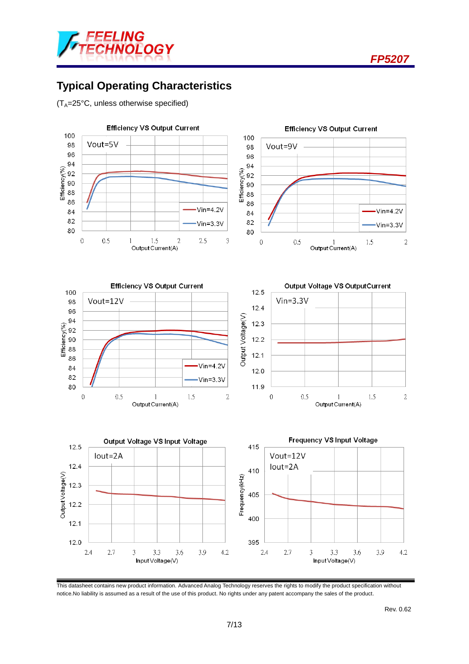



## **Typical Operating Characteristics**

 $(T_A=25^{\circ}C,$  unless otherwise specified)



This datasheet contains new product information. Advanced Analog Technology reserves the rights to modify the product specification without notice.No liability is assumed as a result of the use of this product. No rights under any patent accompany the sales of the product.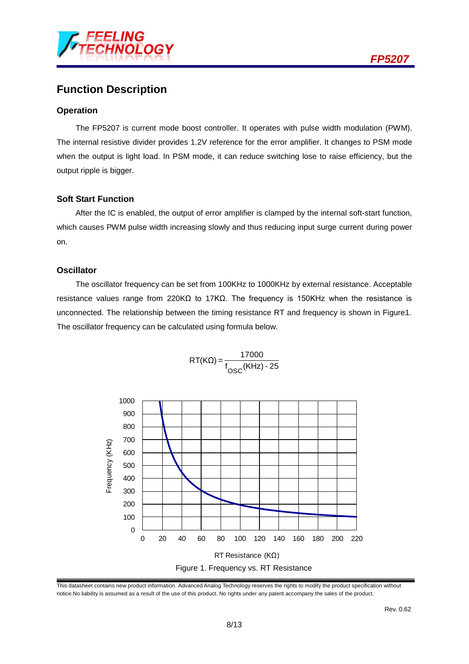

## **Function Description**

#### **Operation**

The FP5207 is current mode boost controller. It operates with pulse width modulation (PWM). The internal resistive divider provides 1.2V reference for the error amplifier. It changes to PSM mode when the output is light load. In PSM mode, it can reduce switching lose to raise efficiency, but the output ripple is bigger.

#### **Soft Start Function**

After the IC is enabled, the output of error amplifier is clamped by the internal soft-start function, which causes PWM pulse width increasing slowly and thus reducing input surge current during power on.

#### **Oscillator**

The oscillator frequency can be set from 100KHz to 1000KHz by external resistance. Acceptable resistance values range from 220KΩ to 17KΩ. The frequency is 150KHz when the resistance is unconnected. The relationship between the timing resistance RT and frequency is shown in Figure1. The oscillator frequency can be calculated using formula below.



RT(KΩ) =  $\frac{17000}{f_{\text{QSC}}(KHz) - 25}$ OSC

This datasheet contains new product information. Advanced Analog Technology reserves the rights to modify the product specification without notice.No liability is assumed as a result of the use of this product. No rights under any patent accompany the sales of the product.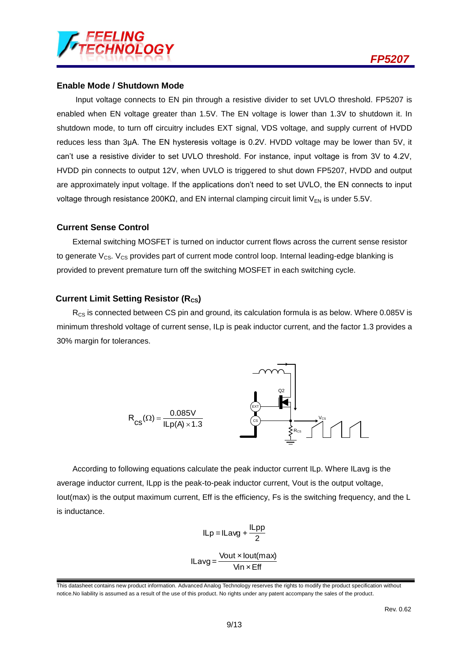

#### **Enable Mode / Shutdown Mode**

Input voltage connects to EN pin through a resistive divider to set UVLO threshold. FP5207 is enabled when EN voltage greater than 1.5V. The EN voltage is lower than 1.3V to shutdown it. In shutdown mode, to turn off circuitry includes EXT signal, VDS voltage, and supply current of HVDD reduces less than 3μA. The EN hysteresis voltage is 0.2V. HVDD voltage may be lower than 5V, it can't use a resistive divider to set UVLO threshold. For instance, input voltage is from 3V to 4.2V, HVDD pin connects to output 12V, when UVLO is triggered to shut down FP5207, HVDD and output are approximately input voltage. If the applications don't need to set UVLO, the EN connects to input voltage through resistance 200KΩ, and EN internal clamping circuit limit  $V_{EN}$  is under 5.5V.

#### **Current Sense Control**

External switching MOSFET is turned on inductor current flows across the current sense resistor to generate  $V_{CS}$ .  $V_{CS}$  provides part of current mode control loop. Internal leading-edge blanking is provided to prevent premature turn off the switching MOSFET in each switching cycle.

#### **Current Limit Setting Resistor (R<sub>CS</sub>)**

 $R_{CS}$  is connected between CS pin and ground, its calculation formula is as below. Where 0.085V is minimum threshold voltage of current sense, ILp is peak inductor current, and the factor 1.3 provides a 30% margin for tolerances.



According to following equations calculate the peak inductor current ILp. Where ILavg is the average inductor current, ILpp is the peak-to-peak inductor current, Vout is the output voltage, Iout(max) is the output maximum current, Eff is the efficiency, Fs is the switching frequency, and the L is inductance.

$$
ILp = ILavg + \frac{ILpp}{2}
$$

Vin  $\times$  Eff  $ILavg = \frac{Vout \times lout(max)}{Vinn \cdot Fff}$ 

This datasheet contains new product information. Advanced Analog Technology reserves the rights to modify the product specification without notice.No liability is assumed as a result of the use of this product. No rights under any patent accompany the sales of the product.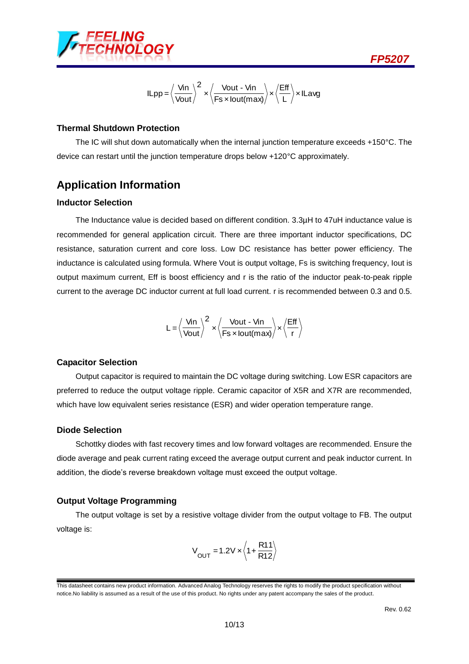

$$
ILpp = \left\langle \frac{V_{in}}{V_{out}} \right\rangle^{2} \times \left\langle \frac{V_{out} - V_{in}}{Fs \times lout(max)} \right\rangle \times \left\langle \frac{Eff}{L} \right\rangle \times ILavg
$$

#### **Thermal Shutdown Protection**

The IC will shut down automatically when the internal junction temperature exceeds +150°C. The device can restart until the junction temperature drops below +120°C approximately.

### **Application Information**

#### **Inductor Selection**

The Inductance value is decided based on different condition. 3.3µH to 47uH inductance value is recommended for general application circuit. There are three important inductor specifications, DC resistance, saturation current and core loss. Low DC resistance has better power efficiency. The inductance is calculated using formula. Where Vout is output voltage, Fs is switching frequency, Iout is output maximum current, Eff is boost efficiency and r is the ratio of the inductor peak-to-peak ripple current to the average DC inductor current at full load current. r is recommended between 0.3 and 0.5.

$$
L = \left< \frac{Vin}{Vout} \right>^2 \times \left< \frac{Vout - Vin}{Fs \times lout(max)} \right> \times \left< \frac{Eff}{r} \right>
$$

#### **Capacitor Selection**

Output capacitor is required to maintain the DC voltage during switching. Low ESR capacitors are preferred to reduce the output voltage ripple. Ceramic capacitor of X5R and X7R are recommended, which have low equivalent series resistance (ESR) and wider operation temperature range.

#### **Diode Selection**

Schottky diodes with fast recovery times and low forward voltages are recommended. Ensure the diode average and peak current rating exceed the average output current and peak inductor current. In addition, the diode's reverse breakdown voltage must exceed the output voltage.

#### **Output Voltage Programming**

The output voltage is set by a resistive voltage divider from the output voltage to FB. The output voltage is:

$$
V_{\text{OUT}} = 1.2 V \times \left\langle 1 + \frac{R11}{R12} \right\rangle
$$

This datasheet contains new product information. Advanced Analog Technology reserves the rights to modify the product specification without notice.No liability is assumed as a result of the use of this product. No rights under any patent accompany the sales of the product.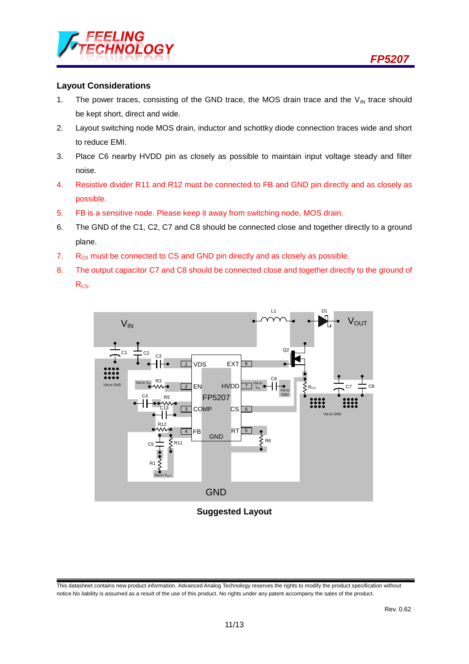

#### **Layout Considerations**

- 1. The power traces, consisting of the GND trace, the MOS drain trace and the  $V_{IN}$  trace should be kept short, direct and wide.
- 2. Layout switching node MOS drain, inductor and schottky diode connection traces wide and short to reduce EMI.
- 3. Place C6 nearby HVDD pin as closely as possible to maintain input voltage steady and filter noise.
- 4. Resistive divider R11 and R12 must be connected to FB and GND pin directly and as closely as possible.
- 5. FB is a sensitive node. Please keep it away from switching node, MOS drain.
- 6. The GND of the C1, C2, C7 and C8 should be connected close and together directly to a ground plane.
- 7.  $R_{CS}$  must be connected to CS and GND pin directly and as closely as possible.
- 8. The output capacitor C7 and C8 should be connected close and together directly to the ground of R<sub>cs</sub>.

**V**OUT GND  $\sqrt{1}$  $2E$  EN 3  $\boxed{4}$  FB RT  $\boxed{5}$ CS <u>| 6</u>  $\overline{Z}$  Via to  $V_{\text{IN}}$ <sup>8</sup> <sup>V</sup>IN Via to V<sub>IN</sub> Via to  $\rm V_{\rm OUT}$ Via to GND L1  $C7 \equiv C8$ D1  $\begin{array}{c} \text{C6} \ \text{C6} \end{array} \begin{array}{c} \text{C6} \ \text{C6} \end{array}$ Q2 R1  $\begin{bmatrix} 1 & 1 & 1 \\ 1 & 1 & 1 \\ 1 & 1 & 1 \end{bmatrix}$  C5  $\begin{bmatrix} 1 & 1 & 1 \\ 1 & 1 & 1 \end{bmatrix}$ C13 <sup>C</sup> R5 <sup>4</sup> R3  $\overline{C_1}$   $\overline{C_2}$   $\overline{C_3}$ FP5207  $EXT$  $8$ VDS EXT<br>EN HVDD COMP GND R6 Via to  $V$ ia to GND  $\begin{array}{|c|c|c|c|c|}\n\hline\n\text{V} & \text{L} & \text{L} & \text{L} & \text{L} \\
\hline\n\end{array}$   $\begin{array}{|c|c|c|c|c|}\n\hline\n\text{V} & \text{L} & \text{L} & \text{L} & \text{L} \\
\hline\n\end{array}$ 

**Suggested Layout**

This datasheet contains new product information. Advanced Analog Technology reserves the rights to modify the product specification without notice.No liability is assumed as a result of the use of this product. No rights under any patent accompany the sales of the product.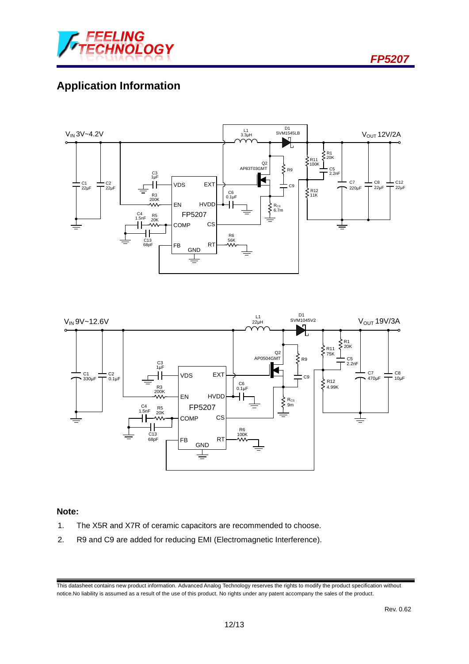

# **Application Information**





#### **Note:**

- 1. The X5R and X7R of ceramic capacitors are recommended to choose.
- 2. R9 and C9 are added for reducing EMI (Electromagnetic Interference).

This datasheet contains new product information. Advanced Analog Technology reserves the rights to modify the product specification without notice.No liability is assumed as a result of the use of this product. No rights under any patent accompany the sales of the product.